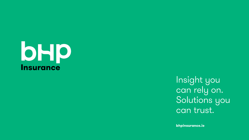

Insight you can rely on. Solutions you can trust.

bhpinsurance.ie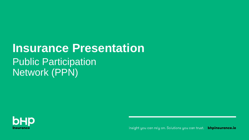## **Insurance Presentation Public Participation** Network (PPN)



Insight you can rely on. Solutions you can trust. **bhpinsurance.ie**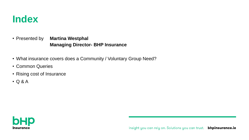

• Presented by **Martina Westphal Managing Director- BHP Insurance**

- What insurance covers does a Community / Voluntary Group Need?
- Common Queries
- Rising cost of Insurance
- Q & A

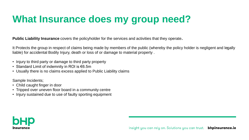**Public Liability Insurance** covers the policyholder for the services and activities that they operate**.** 

It Protects the group in respect of claims being made by members of the public (whereby the policy holder is negligent and legally liable) for accidental Bodily Injury, death or loss of or damage to material property .

- Injury to third party or damage to third party property
- Standard Limit of indemnity in ROI is €6.5m
- Usually there is no claims excess applied to Public Liability claims

Sample Incidents;

- Child caught finger in door
- Tripped over uneven floor board in a community centre
- Injury sustained due to use of faulty sporting equipment

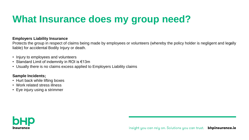#### **Employers Liability Insurance**

Protects the group in respect of claims being made by employees or volunteers (whereby the policy holder is negligent and legally liable) for accidental Bodily Injury or death.

- Injury to employees and volunteers
- Standard Limit of indemnity in ROI is €13m
- Usually there is no claims excess applied to Employers Liability claims

#### **Sample Incidents;**

- Hurt back while lifting boxes
- Work related stress illness
- Eye injury using a strimmer

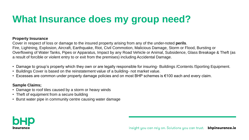#### **Property Insurance**

Cover in respect of loss or damage to the insured property arising from any of the under-noted **perils**. Fire, Lightning, Explosion, Aircraft, Earthquake, Riot, Civil Commotion, Malicious Damage, Storm or Flood, Bursting or Overflowing of Water Tanks, Pipes or Apparatus, Impact by any Road Vehicle or Animal, Subsidence, Glass Breakage & Theft (as a result of forcible or violent entry to or exit from the premises) including Accidental Damage.

- Damage to group's property which they own or are legally responsible for insuring- Buildings /Contents /Sporting Equipment.
- Buildings Cover is based on the reinstatement value of a building- not market value.
- Excesses are common under property damage policies and on most BHP schemes is €100 each and every claim.

#### **Sample Claims;**

- Damage to roof tiles caused by a storm or heavy winds
- Theft of equipment from a secure building
- Burst water pipe in community centre causing water damage

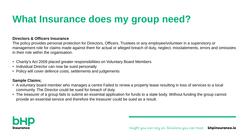#### **Directors & Officers Insurance**

The policy provides personal protection for Directors, Officers, Trustees or any employee/volunteer in a supervisory or management role for claims made against them for actual or alleged breach of duty, neglect, misstatements, errors and omissions in their role within the organisation.

- Charity's Act 2009 placed greater responsibilities on Voluntary Board Members
- Individual Director can now be sued personally
- Policy will cover defence costs, settlements and judgements

#### **Sample Claims;**

- A voluntary board member who manages a centre Failed to renew a property lease resulting in loss of services to a local community. The Director could be sued for breach of duty.
- The treasurer of a group fails to submit an essential application for funds to a state body. Without funding the group cannot provide an essential service and therefore the treasurer could be sued as a result.

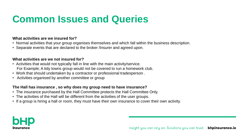### **Common Issues and Queries**

#### **What activities are we insured for?**

- Normal activities that your group organises themselves and which fall within the business description.
- Separate events that are declared to the broker /Insurer and agreed upon.

#### **What activities are we not insured for?**

- Activities that would not typically fall in line with the main activity/service. For Example; A tidy towns group would not be covered to run a homework club.
- Work that should undertaken by a contractor or professional tradesperson .
- Activities organised by another committee or group

#### **The Hall has insurance , so why does my group need to have insurance?**

- The insurance purchased by the Hall Committee protects the Hall Committee Only.
- The activities of the Hall will be different from the activities of the user groups.
- If a group is hiring a hall or room, they must have their own insurance to cover their own activity.

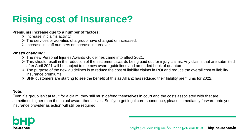## **Rising cost of Insurance?**

#### **Premiums increase due to a number of factors:**

- $\triangleright$  Increase in claims activity.
- $\triangleright$  The services or activities of a group have changed or increased.
- ➢ Increase in staff numbers or increase in turnover.

#### **What's changing:**

- ➢ The new Personal Injuries Awards Guidelines came into affect 2021.
- ➢ This should result in the reduction of the settlement awards being paid out for injury claims. Any claims that are submitted after April 2021 will be subject to the new award guidelines and amended book of quantum .
- ➢ The purpose of the new guidelines is to reduce the cost of liability claims in ROI and reduce the overall cost of liability insurance premiums.
- ➢ BHP customers are starting to see the benefit of this as Allianz has reduced their liability premiums for 2022.

#### **Note:**

Even if a group isn't at fault for a claim, they still must defend themselves in court and the costs associated with that are sometimes higher than the actual award themselves. So if you get legal correspondence, please immediately forward onto your insurance provider as action will still be required.